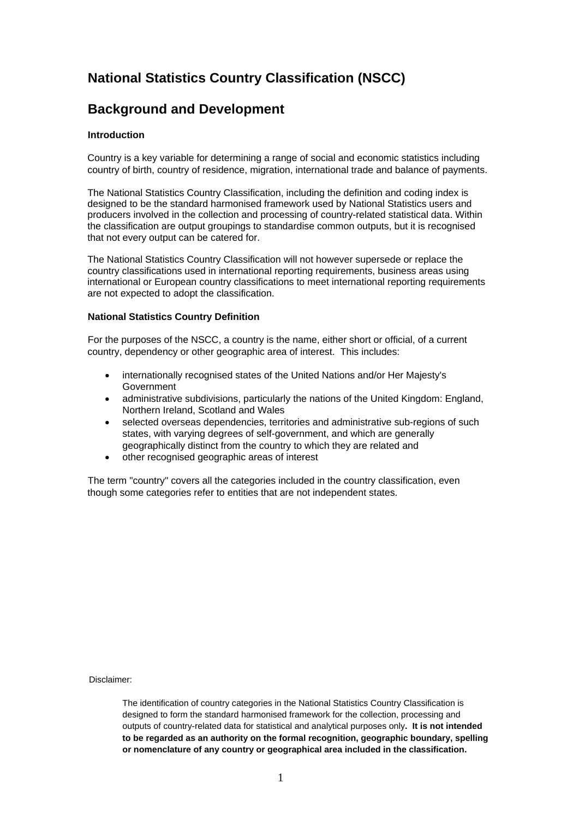# **National Statistics Country Classification (NSCC)**

## **Background and Development**

## **Introduction**

Country is a key variable for determining a range of social and economic statistics including country of birth, country of residence, migration, international trade and balance of payments.

The National Statistics Country Classification, including the definition and coding index is designed to be the standard harmonised framework used by National Statistics users and producers involved in the collection and processing of country-related statistical data. Within the classification are output groupings to standardise common outputs, but it is recognised that not every output can be catered for.

The National Statistics Country Classification will not however supersede or replace the country classifications used in international reporting requirements, business areas using international or European country classifications to meet international reporting requirements are not expected to adopt the classification.

## **National Statistics Country Definition**

For the purposes of the NSCC, a country is the name, either short or official, of a current country, dependency or other geographic area of interest. This includes:

- internationally recognised states of the United Nations and/or Her Majesty's Government
- administrative subdivisions, particularly the nations of the United Kingdom: England, Northern Ireland, Scotland and Wales
- selected overseas dependencies, territories and administrative sub-regions of such states, with varying degrees of self-government, and which are generally geographically distinct from the country to which they are related and
- other recognised geographic areas of interest

The term "country" covers all the categories included in the country classification, even though some categories refer to entities that are not independent states.

Disclaimer:

The identification of country categories in the National Statistics Country Classification is designed to form the standard harmonised framework for the collection, processing and outputs of country-related data for statistical and analytical purposes only**. It is not intended to be regarded as an authority on the formal recognition, geographic boundary, spelling or nomenclature of any country or geographical area included in the classification.**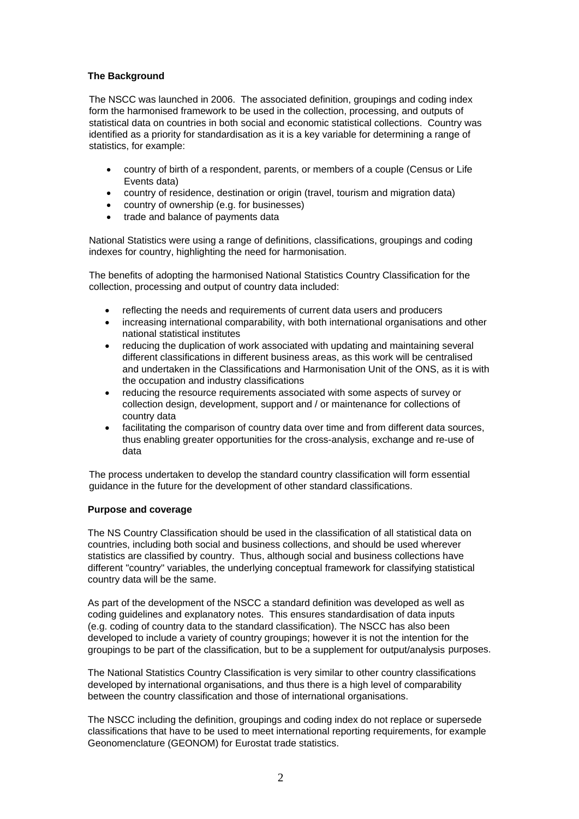## **The Background**

The NSCC was launched in 2006. The associated definition, groupings and coding index form the harmonised framework to be used in the collection, processing, and outputs of statistical data on countries in both social and economic statistical collections. Country was identified as a priority for standardisation as it is a key variable for determining a range of statistics, for example:

- country of birth of a respondent, parents, or members of a couple (Census or Life Events data)
- country of residence, destination or origin (travel, tourism and migration data)
- country of ownership (e.g. for businesses)
- trade and balance of payments data

National Statistics were using a range of definitions, classifications, groupings and coding indexes for country, highlighting the need for harmonisation.

The benefits of adopting the harmonised National Statistics Country Classification for the collection, processing and output of country data included:

- reflecting the needs and requirements of current data users and producers
- increasing international comparability, with both international organisations and other national statistical institutes
- reducing the duplication of work associated with updating and maintaining several different classifications in different business areas, as this work will be centralised and undertaken in the Classifications and Harmonisation Unit of the ONS, as it is with the occupation and industry classifications
- reducing the resource requirements associated with some aspects of survey or collection design, development, support and / or maintenance for collections of country data
- facilitating the comparison of country data over time and from different data sources, thus enabling greater opportunities for the cross-analysis, exchange and re-use of data

The process undertaken to develop the standard country classification will form essential guidance in the future for the development of other standard classifications.

## **Purpose and coverage**

The NS Country Classification should be used in the classification of all statistical data on countries, including both social and business collections, and should be used wherever statistics are classified by country. Thus, although social and business collections have different "country" variables, the underlying conceptual framework for classifying statistical country data will be the same.

As part of the development of the NSCC a standard definition was developed as well as coding guidelines and explanatory notes. This ensures standardisation of data inputs (e.g. coding of country data to the standard classification). The NSCC has also been developed to include a variety of country groupings; however it is not the intention for the groupings to be part of the classification, but to be a supplement for output/analysis purposes.

The National Statistics Country Classification is very similar to other country classifications developed by international organisations, and thus there is a high level of comparability between the country classification and those of international organisations.

The NSCC including the definition, groupings and coding index do not replace or supersede classifications that have to be used to meet international reporting requirements, for example Geonomenclature (GEONOM) for Eurostat trade statistics.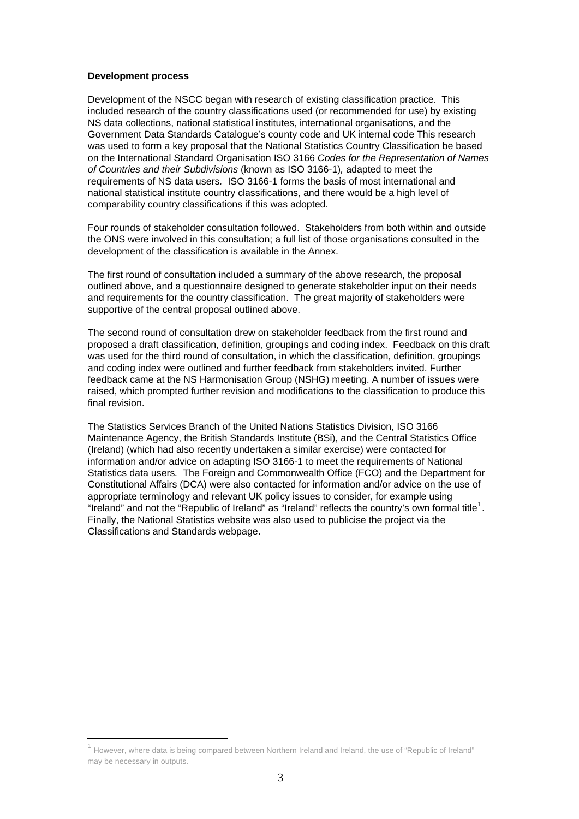#### **Development process**

1

Development of the NSCC began with research of existing classification practice. This included research of the country classifications used (or recommended for use) by existing NS data collections, national statistical institutes, international organisations, and the Government Data Standards Catalogue's county code and UK internal code This research was used to form a key proposal that the National Statistics Country Classification be based on the International Standard Organisation ISO 3166 *Codes for the Representation of Names of Countries and their Subdivisions* (known as ISO 3166-1)*,* adapted to meet the requirements of NS data users*.* ISO 3166-1 forms the basis of most international and national statistical institute country classifications, and there would be a high level of comparability country classifications if this was adopted.

Four rounds of stakeholder consultation followed. Stakeholders from both within and outside the ONS were involved in this consultation; a full list of those organisations consulted in the development of the classification is available in the Annex.

The first round of consultation included a summary of the above research, the proposal outlined above, and a questionnaire designed to generate stakeholder input on their needs and requirements for the country classification. The great majority of stakeholders were supportive of the central proposal outlined above.

The second round of consultation drew on stakeholder feedback from the first round and proposed a draft classification, definition, groupings and coding index. Feedback on this draft was used for the third round of consultation, in which the classification, definition, groupings and coding index were outlined and further feedback from stakeholders invited. Further feedback came at the NS Harmonisation Group (NSHG) meeting. A number of issues were raised, which prompted further revision and modifications to the classification to produce this final revision.

The Statistics Services Branch of the United Nations Statistics Division, ISO 3166 Maintenance Agency, the British Standards Institute (BSi), and the Central Statistics Office (Ireland) (which had also recently undertaken a similar exercise) were contacted for information and/or advice on adapting ISO 3166-1 to meet the requirements of National Statistics data users*.* The Foreign and Commonwealth Office (FCO) and the Department for Constitutional Affairs (DCA) were also contacted for information and/or advice on the use of appropriate terminology and relevant UK policy issues to consider, for example using "Ireland" and not the "Republic of Ireland" as "Ireland" reflects the country's own formal title<sup>[1](#page-2-0)</sup>. Finally, the National Statistics website was also used to publicise the project via the Classifications and Standards webpage.

<span id="page-2-0"></span><sup>1</sup> However, where data is being compared between Northern Ireland and Ireland, the use of "Republic of Ireland" may be necessary in outputs.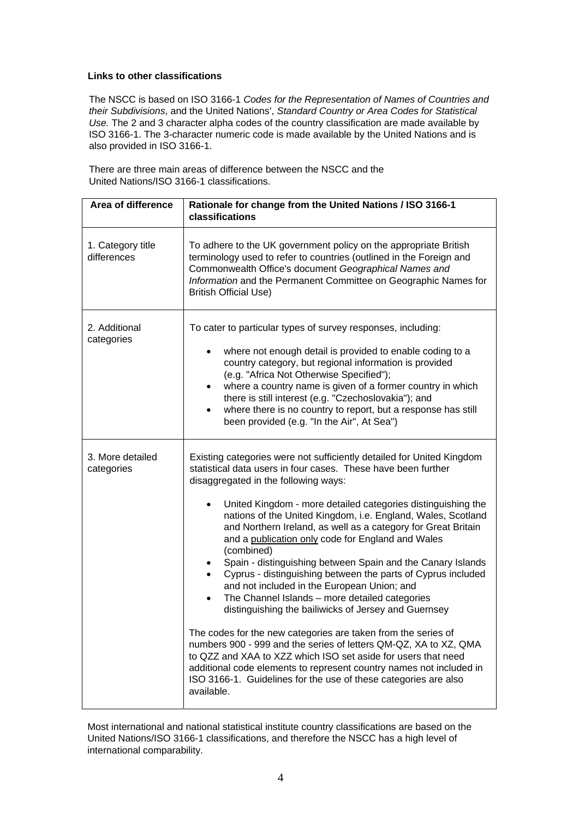#### **Links to other classifications**

The NSCC is based on ISO 3166-1 *Codes for the Representation of Names of Countries and their Subdivisions*, and the United Nations', *Standard Country or Area Codes for Statistical Use.* The 2 and 3 character alpha codes of the country classification are made available by ISO 3166-1. The 3-character numeric code is made available by the United Nations and is also provided in ISO 3166-1.

There are three main areas of difference between the NSCC and the United Nations/ISO 3166-1 classifications.

| Area of difference               | Rationale for change from the United Nations / ISO 3166-1<br>classifications                                                                                                                                                                                                                                                                                                                                                                                                                                                                                                                                                                                                                                                                                                                                                                                                                                                                                                                                                                                                                                          |
|----------------------------------|-----------------------------------------------------------------------------------------------------------------------------------------------------------------------------------------------------------------------------------------------------------------------------------------------------------------------------------------------------------------------------------------------------------------------------------------------------------------------------------------------------------------------------------------------------------------------------------------------------------------------------------------------------------------------------------------------------------------------------------------------------------------------------------------------------------------------------------------------------------------------------------------------------------------------------------------------------------------------------------------------------------------------------------------------------------------------------------------------------------------------|
| 1. Category title<br>differences | To adhere to the UK government policy on the appropriate British<br>terminology used to refer to countries (outlined in the Foreign and<br>Commonwealth Office's document Geographical Names and<br>Information and the Permanent Committee on Geographic Names for<br><b>British Official Use)</b>                                                                                                                                                                                                                                                                                                                                                                                                                                                                                                                                                                                                                                                                                                                                                                                                                   |
| 2. Additional<br>categories      | To cater to particular types of survey responses, including:<br>where not enough detail is provided to enable coding to a<br>country category, but regional information is provided<br>(e.g. "Africa Not Otherwise Specified");<br>where a country name is given of a former country in which<br>$\bullet$<br>there is still interest (e.g. "Czechoslovakia"); and<br>where there is no country to report, but a response has still<br>$\bullet$<br>been provided (e.g. "In the Air", At Sea")                                                                                                                                                                                                                                                                                                                                                                                                                                                                                                                                                                                                                        |
| 3. More detailed<br>categories   | Existing categories were not sufficiently detailed for United Kingdom<br>statistical data users in four cases. These have been further<br>disaggregated in the following ways:<br>United Kingdom - more detailed categories distinguishing the<br>nations of the United Kingdom, i.e. England, Wales, Scotland<br>and Northern Ireland, as well as a category for Great Britain<br>and a publication only code for England and Wales<br>(combined)<br>Spain - distinguishing between Spain and the Canary Islands<br>Cyprus - distinguishing between the parts of Cyprus included<br>$\bullet$<br>and not included in the European Union; and<br>The Channel Islands - more detailed categories<br>distinguishing the bailiwicks of Jersey and Guernsey<br>The codes for the new categories are taken from the series of<br>numbers 900 - 999 and the series of letters QM-QZ, XA to XZ, QMA<br>to QZZ and XAA to XZZ which ISO set aside for users that need<br>additional code elements to represent country names not included in<br>ISO 3166-1. Guidelines for the use of these categories are also<br>available. |

Most international and national statistical institute country classifications are based on the United Nations/ISO 3166-1 classifications, and therefore the NSCC has a high level of international comparability.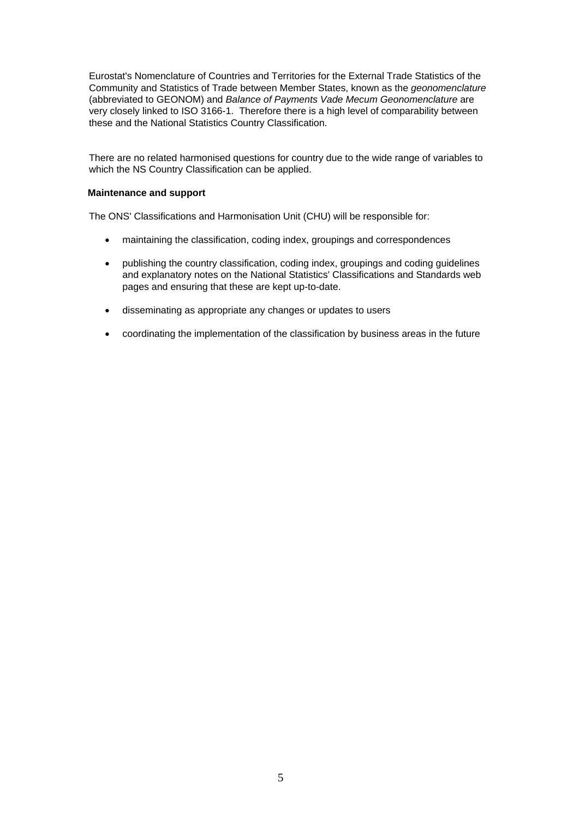Eurostat's Nomenclature of Countries and Territories for the External Trade Statistics of the Community and Statistics of Trade between Member States, known as the *geonomenclature*  (abbreviated to GEONOM) and *Balance of Payments Vade Mecum Geonomenclature* are very closely linked to ISO 3166-1. Therefore there is a high level of comparability between these and the National Statistics Country Classification.

There are no related harmonised questions for country due to the wide range of variables to which the NS Country Classification can be applied.

#### **Maintenance and support**

The ONS' Classifications and Harmonisation Unit (CHU) will be responsible for:

- maintaining the classification, coding index, groupings and correspondences
- publishing the country classification, coding index, groupings and coding guidelines and explanatory notes on the National Statistics' Classifications and Standards web pages and ensuring that these are kept up-to-date.
- disseminating as appropriate any changes or updates to users
- coordinating the implementation of the classification by business areas in the future